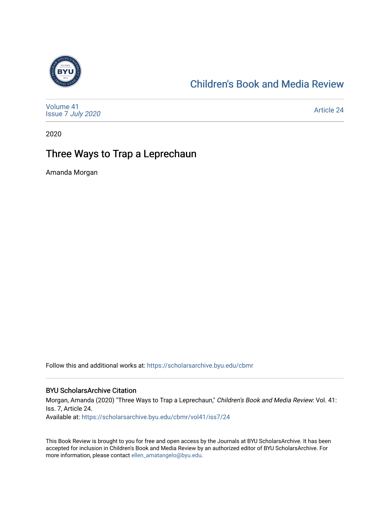

### [Children's Book and Media Review](https://scholarsarchive.byu.edu/cbmr)

[Volume 41](https://scholarsarchive.byu.edu/cbmr/vol41) Issue 7 [July 2020](https://scholarsarchive.byu.edu/cbmr/vol41/iss7)

[Article 24](https://scholarsarchive.byu.edu/cbmr/vol41/iss7/24) 

2020

### Three Ways to Trap a Leprechaun

Amanda Morgan

Follow this and additional works at: [https://scholarsarchive.byu.edu/cbmr](https://scholarsarchive.byu.edu/cbmr?utm_source=scholarsarchive.byu.edu%2Fcbmr%2Fvol41%2Fiss7%2F24&utm_medium=PDF&utm_campaign=PDFCoverPages) 

#### BYU ScholarsArchive Citation

Morgan, Amanda (2020) "Three Ways to Trap a Leprechaun," Children's Book and Media Review: Vol. 41: Iss. 7, Article 24. Available at: [https://scholarsarchive.byu.edu/cbmr/vol41/iss7/24](https://scholarsarchive.byu.edu/cbmr/vol41/iss7/24?utm_source=scholarsarchive.byu.edu%2Fcbmr%2Fvol41%2Fiss7%2F24&utm_medium=PDF&utm_campaign=PDFCoverPages)

This Book Review is brought to you for free and open access by the Journals at BYU ScholarsArchive. It has been accepted for inclusion in Children's Book and Media Review by an authorized editor of BYU ScholarsArchive. For more information, please contact [ellen\\_amatangelo@byu.edu.](mailto:ellen_amatangelo@byu.edu)